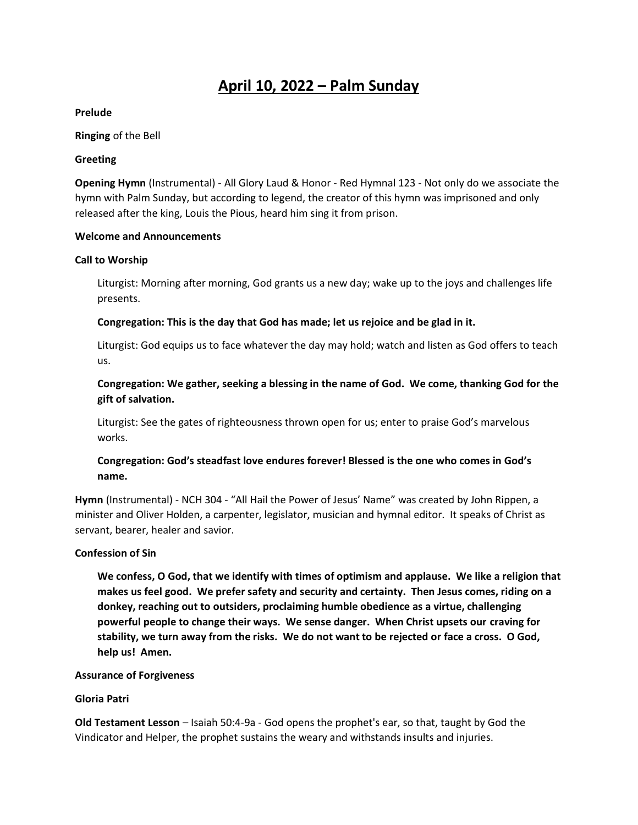# **April 10, 2022 – Palm Sunday**

#### **Prelude**

#### **Ringing** of the Bell

#### **Greeting**

**Opening Hymn** (Instrumental) - All Glory Laud & Honor - Red Hymnal 123 - Not only do we associate the hymn with Palm Sunday, but according to legend, the creator of this hymn was imprisoned and only released after the king, Louis the Pious, heard him sing it from prison.

#### **Welcome and Announcements**

#### **Call to Worship**

Liturgist: Morning after morning, God grants us a new day; wake up to the joys and challenges life presents.

## **Congregation: This is the day that God has made; let us rejoice and be glad in it.**

Liturgist: God equips us to face whatever the day may hold; watch and listen as God offers to teach us.

# **Congregation: We gather, seeking a blessing in the name of God. We come, thanking God for the gift of salvation.**

Liturgist: See the gates of righteousness thrown open for us; enter to praise God's marvelous works.

# **Congregation: God's steadfast love endures forever! Blessed is the one who comes in God's name.**

**Hymn** (Instrumental) - NCH 304 - "All Hail the Power of Jesus' Name" was created by John Rippen, a minister and Oliver Holden, a carpenter, legislator, musician and hymnal editor. It speaks of Christ as servant, bearer, healer and savior.

#### **Confession of Sin**

**We confess, O God, that we identify with times of optimism and applause. We like a religion that makes us feel good. We prefer safety and security and certainty. Then Jesus comes, riding on a donkey, reaching out to outsiders, proclaiming humble obedience as a virtue, challenging powerful people to change their ways. We sense danger. When Christ upsets our craving for stability, we turn away from the risks. We do not want to be rejected or face a cross. O God, help us! Amen.** 

#### **Assurance of Forgiveness**

## **Gloria Patri**

**Old Testament Lesson** – Isaiah 50:4-9a - God opens the prophet's ear, so that, taught by God the Vindicator and Helper, the prophet sustains the weary and withstands insults and injuries.